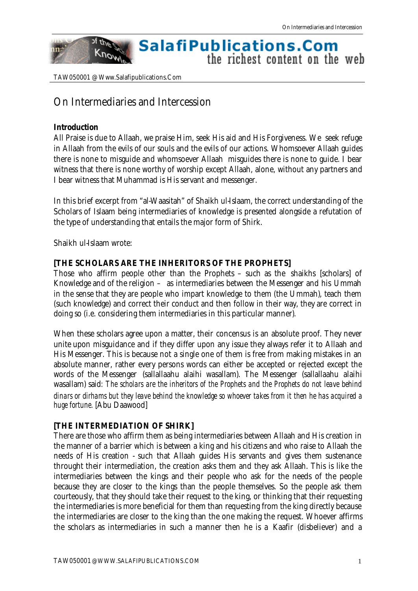#### of the **SalafiPublications.Com** Know the richest content on the web

TAW050001 @ Www.Salafipublications.Com

# On Intermediaries and Intercession

#### **Introduction**

nn:

All Praise is due to Allaah, we praise Him, seek His aid and His Forgiveness. We seek refuge in Allaah from the evils of our souls and the evils of our actions. Whomsoever Allaah guides there is none to misguide and whomsoever Allaah misguides there is none to guide. I bear witness that there is none worthy of worship except Allaah, alone, without any partners and I bear witness that Muhammad is His servant and messenger.

In this brief excerpt from "al-Waasitah" of Shaikh ul-Islaam, the correct understanding of the Scholars of Islaam being intermediaries of knowledge is presented alongside a refutation of the type of understanding that entails the major form of Shirk.

Shaikh ul-Islaam wrote:

#### **[THE SCHOLARS ARE THE INHERITORS OF THE PROPHETS]**

Those who affirm people other than the Prophets – such as the shaikhs [scholars] of Knowledge and of the religion – as intermediaries between the Messenger and his Ummah in the sense that they are people who impart knowledge to them (the Ummah), teach them (such knowledge) and correct their conduct and then follow in their way, they are correct in doing so (i.e. considering them intermediaries in this particular manner).

When these scholars agree upon a matter, their concensus is an absolute proof. They never unite upon misguidance and if they differ upon any issue they always refer it to Allaah and His Messenger. This is because not a single one of them is free from making mistakes in an absolute manner, rather every persons words can either be accepted or rejected except the words of the Messenger (sallallaahu alaihi wasallam). The Messenger (sallallaahu alaihi wasallam) said*: The scholars are the inheritors of the Prophets and the Prophets do not leave behind dinars or dirhams but they leave behind the knowledge so whoever takes from it then he has acquired a huge fortune.* [Abu Daawood]

#### **[THE INTERMEDIATION OF SHIRK]**

There are those who affirm them as being intermediaries between Allaah and His creation in the manner of a barrier which is between a king and his citizens and who raise to Allaah the needs of His creation - such that Allaah guides His servants and gives them sustenance throught their intermediation, the creation asks them and they ask Allaah. This is like the intermediaries between the kings and their people who ask for the needs of the people because they are closer to the kings than the people themselves. So the people ask them courteously, that they should take their request to the king, or thinking that their requesting the intermediaries is more beneficial for them than requesting from the king directly because the intermediaries are closer to the king than the one making the request. Whoever affirms the scholars as intermediaries in such a manner then he is a Kaafir (disbeliever) and a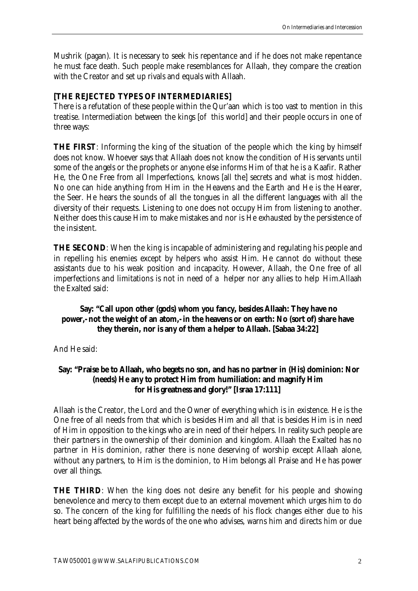Mushrik (pagan). It is necessary to seek his repentance and if he does not make repentance he must face death. Such people make resemblances for Allaah, they compare the creation with the Creator and set up rivals and equals with Allaah.

### **[THE REJECTED TYPES OF INTERMEDIARIES]**

There is a refutation of these people within the Qur'aan which is too vast to mention in this treatise. Intermediation between the kings [of this world] and their people occurs in one of three ways:

**THE FIRST**: Informing the king of the situation of the people which the king by himself does not know. Whoever says that Allaah does not know the condition of His servants until some of the angels or the prophets or anyone else informs Him of that he is a Kaafir. Rather He, the One Free from all Imperfections, knows [all the] secrets and what is most hidden. No one can hide anything from Him in the Heavens and the Earth and He is the Hearer, the Seer. He hears the sounds of all the tongues in all the different languages with all the diversity of their requests. Listening to one does not occupy Him from listening to another. Neither does this cause Him to make mistakes and nor is He exhausted by the persistence of the insistent.

**THE SECOND**: When the king is incapable of administering and regulating his people and in repelling his enemies except by helpers who assist Him. He cannot do without these assistants due to his weak position and incapacity. However, Allaah, the One free of all imperfections and limitations is not in need of a helper nor any allies to help Him.Allaah the Exalted said:

# **Say: "Call upon other (gods) whom you fancy, besides Allaah: They have no power,- not the weight of an atom,- in the heavens or on earth: No (sort of) share have they therein, nor is any of them a helper to Allaah. [Sabaa 34:22]**

And He said:

#### **Say: "Praise be to Allaah, who begets no son, and has no partner in (His) dominion: Nor (needs) He any to protect Him from humiliation: and magnify Him for His greatness and glory!" [Israa 17:111]**

Allaah is the Creator, the Lord and the Owner of everything which is in existence. He is the One free of all needs from that which is besides Him and all that is besides Him is in need of Him in opposition to the kings who are in need of their helpers. In reality such people are their partners in the ownership of their dominion and kingdom. Allaah the Exalted has no partner in His dominion, rather there is none deserving of worship except Allaah alone, without any partners, to Him is the dominion, to Him belongs all Praise and He has power over all things.

**THE THIRD**: When the king does not desire any benefit for his people and showing benevolence and mercy to them except due to an external movement which urges him to do so. The concern of the king for fulfilling the needs of his flock changes either due to his heart being affected by the words of the one who advises, warns him and directs him or due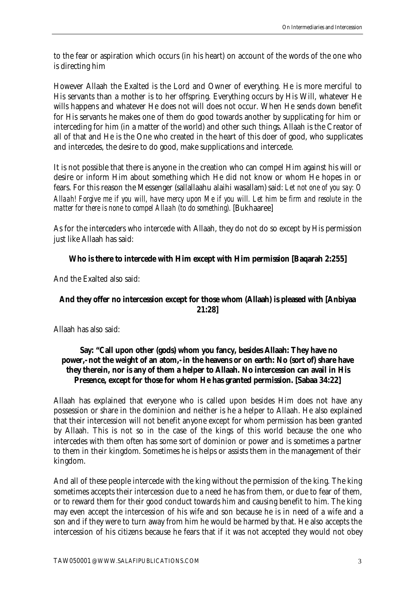to the fear or aspiration which occurs (in his heart) on account of the words of the one who is directing him

However Allaah the Exalted is the Lord and Owner of everything. He is more merciful to His servants than a mother is to her offspring. Everything occurs by His Will, whatever He wills happens and whatever He does not will does not occur. When He sends down benefit for His servants he makes one of them do good towards another by supplicating for him or interceding for him (in a matter of the world) and other such things. Allaah is the Creator of all of that and He is the One who created in the heart of this doer of good, who supplicates and intercedes, the desire to do good, make supplications and intercede.

It is not possible that there is anyone in the creation who can compel Him against his will or desire or inform Him about something which He did not know or whom He hopes in or fears. For this reason the Messenger (sallallaahu alaihi wasallam) said: *Let not one of you say: O Allaah! Forgive me if you will, have mercy upon Me if you will. Let him be firm and resolute in the matter for there is none to compel Allaah (to do something).* [Bukhaaree]

As for the interceders who intercede with Allaah, they do not do so except by His permission just like Allaah has said:

# **Who is there to intercede with Him except with Him permission [Baqarah 2:255]**

And the Exalted also said:

# **And they offer no intercession except for those whom (Allaah) is pleased with [Anbiyaa 21:28]**

Allaah has also said:

### **Say: "Call upon other (gods) whom you fancy, besides Allaah: They have no power,- not the weight of an atom,- in the heavens or on earth: No (sort of) share have they therein, nor is any of them a helper to Allaah. No intercession can avail in His Presence, except for those for whom He has granted permission. [Sabaa 34:22]**

Allaah has explained that everyone who is called upon besides Him does not have any possession or share in the dominion and neither is he a helper to Allaah. He also explained that their intercession will not benefit anyone except for whom permission has been granted by Allaah. This is not so in the case of the kings of this world because the one who intercedes with them often has some sort of dominion or power and is sometimes a partner to them in their kingdom. Sometimes he is helps or assists them in the management of their kingdom.

And all of these people intercede with the king without the permission of the king. The king sometimes accepts their intercession due to a need he has from them, or due to fear of them, or to reward them for their good conduct towards him and causing benefit to him. The king may even accept the intercession of his wife and son because he is in need of a wife and a son and if they were to turn away from him he would be harmed by that. He also accepts the intercession of his citizens because he fears that if it was not accepted they would not obey